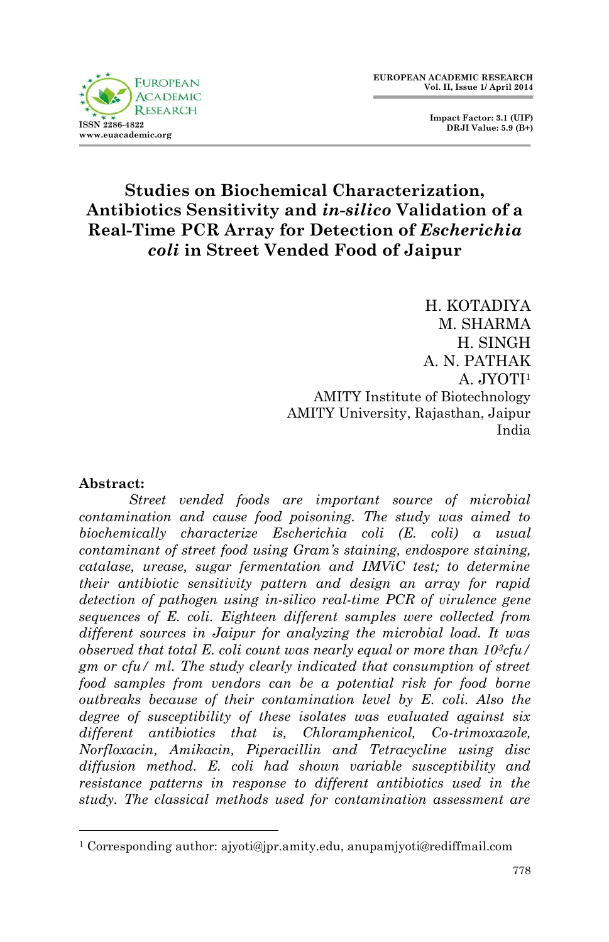

 **Impact Factor: 3.1 (UIF) DRJI Value: 5.9 (B+)**

# **Studies on Biochemical Characterization, Antibiotics Sensitivity and** *in-silico* **Validation of a Real-Time PCR Array for Detection of** *Escherichia coli* **in Street Vended Food of Jaipur**

H. KOTADIYA M. SHARMA H. SINGH A. N. PATHAK A. JYOTI<sup>1</sup> AMITY Institute of Biotechnology AMITY University, Rajasthan, Jaipur India

#### **Abstract:**

1

*Street vended foods are important source of microbial contamination and cause food poisoning. The study was aimed to biochemically characterize Escherichia coli (E. coli) a usual contaminant of street food using Gram's staining, endospore staining, catalase, urease, sugar fermentation and IMViC test; to determine their antibiotic sensitivity pattern and design an array for rapid detection of pathogen using in-silico real-time PCR of virulence gene sequences of E. coli. Eighteen different samples were collected from different sources in Jaipur for analyzing the microbial load. It was observed that total E. coli count was nearly equal or more than 103cfu/ gm or cfu/ ml. The study clearly indicated that consumption of street food samples from vendors can be a potential risk for food borne outbreaks because of their contamination level by E. coli. Also the degree of susceptibility of these isolates was evaluated against six different antibiotics that is, Chloramphenicol, Co-trimoxazole, Norfloxacin, Amikacin, Piperacillin and Tetracycline using disc diffusion method. E. coli had shown variable susceptibility and resistance patterns in response to different antibiotics used in the study. The classical methods used for contamination assessment are* 

<sup>1</sup> Corresponding author: ajyoti@jpr.amity.edu, anupamjyoti@rediffmail.com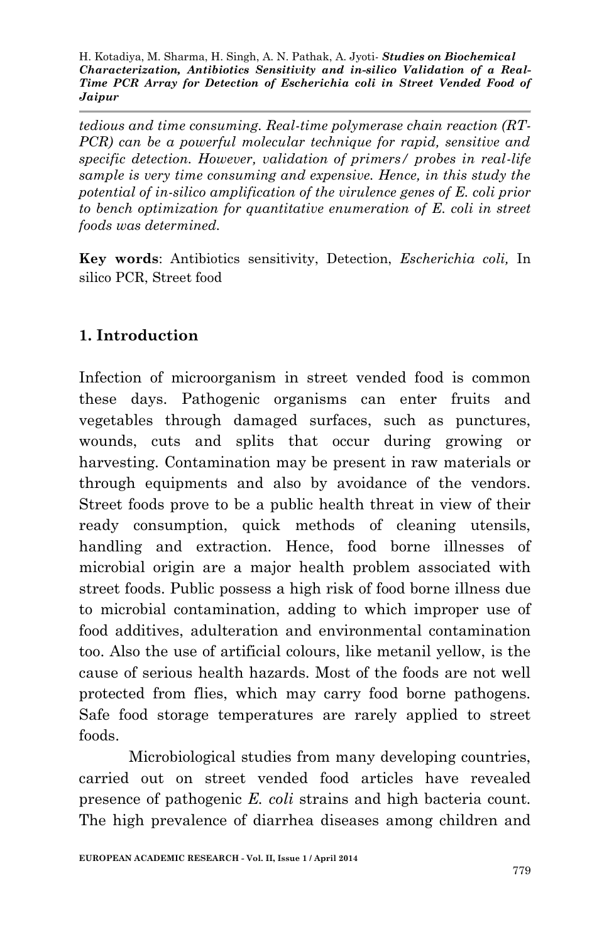*tedious and time consuming. Real-time polymerase chain reaction (RT-PCR) can be a powerful molecular technique for rapid, sensitive and specific detection. However, validation of primers/ probes in real-life sample is very time consuming and expensive. Hence, in this study the potential of in-silico amplification of the virulence genes of E. coli prior to bench optimization for quantitative enumeration of E. coli in street foods was determined.*

**Key words**: Antibiotics sensitivity, Detection, *Escherichia coli,* In silico PCR, Street food

### **1. Introduction**

Infection of microorganism in street vended food is common these days. Pathogenic organisms can enter fruits and vegetables through damaged surfaces, such as punctures, wounds, cuts and splits that occur during growing or harvesting. Contamination may be present in raw materials or through equipments and also by avoidance of the vendors. Street foods prove to be a public health threat in view of their ready consumption, quick methods of cleaning utensils, handling and extraction. Hence, food borne illnesses of microbial origin are a major health problem associated with street foods. Public possess a high risk of food borne illness due to microbial contamination, adding to which improper use of food additives, adulteration and environmental contamination too. Also the use of artificial colours, like metanil yellow, is the cause of serious health hazards. Most of the foods are not well protected from flies, which may carry food borne pathogens. Safe food storage temperatures are rarely applied to street foods.

Microbiological studies from many developing countries, carried out on street vended food articles have revealed presence of pathogenic *E. coli* strains and high bacteria count. The high prevalence of diarrhea diseases among children and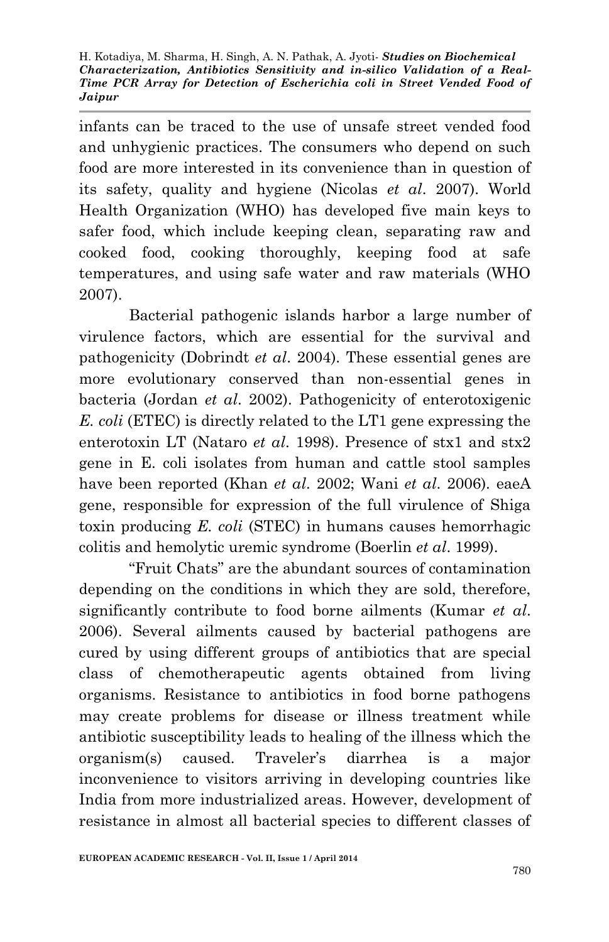infants can be traced to the use of unsafe street vended food and unhygienic practices. The consumers who depend on such food are more interested in its convenience than in question of its safety, quality and hygiene (Nicolas *et al*. 2007). World Health Organization (WHO) has developed five main keys to safer food, which include keeping clean, separating raw and cooked food, cooking thoroughly, keeping food at safe temperatures, and using safe water and raw materials (WHO 2007).

Bacterial pathogenic islands harbor a large number of virulence factors, which are essential for the survival and pathogenicity (Dobrindt *et al*. 2004). These essential genes are more evolutionary conserved than non-essential genes in bacteria (Jordan *et al*. 2002). Pathogenicity of enterotoxigenic *E. coli* (ETEC) is directly related to the LT1 gene expressing the enterotoxin LT (Nataro *et al*. 1998). Presence of stx1 and stx2 gene in E. coli isolates from human and cattle stool samples have been reported (Khan *et al*. 2002; Wani *et al*. 2006). eaeA gene, responsible for expression of the full virulence of Shiga toxin producing *E. coli* (STEC) in humans causes hemorrhagic colitis and hemolytic uremic syndrome (Boerlin *et al*. 1999).

"Fruit Chats" are the abundant sources of contamination depending on the conditions in which they are sold, therefore, significantly contribute to food borne ailments (Kumar *et al*. 2006). Several ailments caused by bacterial pathogens are cured by using different groups of antibiotics that are special class of chemotherapeutic agents obtained from living organisms. Resistance to antibiotics in food borne pathogens may create problems for disease or illness treatment while antibiotic susceptibility leads to healing of the illness which the organism(s) caused. Traveler's diarrhea is a major inconvenience to visitors arriving in developing countries like India from more industrialized areas. However, development of resistance in almost all bacterial species to different classes of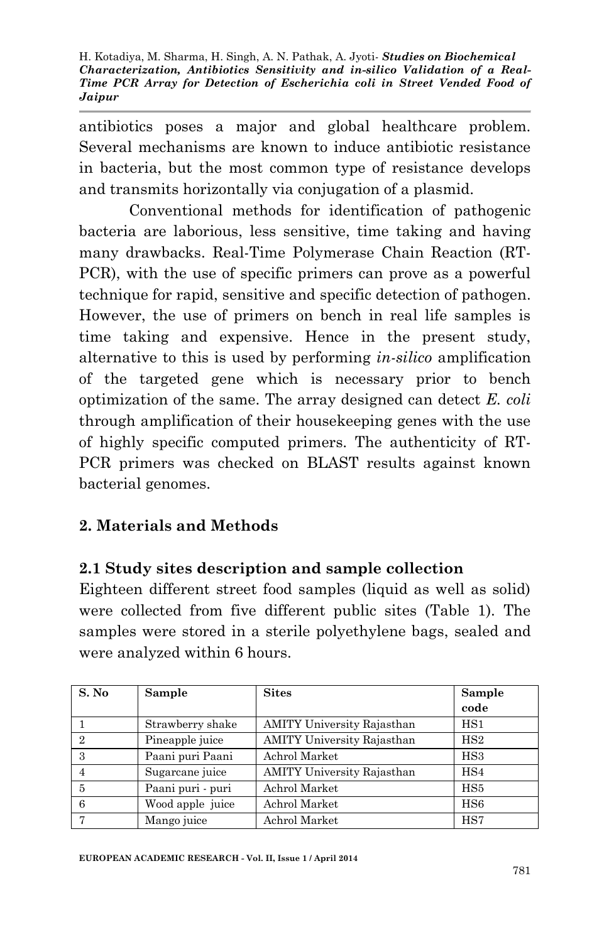antibiotics poses a major and global healthcare problem. Several mechanisms are known to induce antibiotic resistance in bacteria, but the most common type of resistance develops and transmits horizontally via conjugation of a plasmid.

Conventional methods for identification of pathogenic bacteria are laborious, less sensitive, time taking and having many drawbacks. Real-Time Polymerase Chain Reaction (RT-PCR), with the use of specific primers can prove as a powerful technique for rapid, sensitive and specific detection of pathogen. However, the use of primers on bench in real life samples is time taking and expensive. Hence in the present study, alternative to this is used by performing *in-silico* amplification of the targeted gene which is necessary prior to bench optimization of the same. The array designed can detect *E. coli*  through amplification of their housekeeping genes with the use of highly specific computed primers. The authenticity of RT-PCR primers was checked on BLAST results against known bacterial genomes.

### **2. Materials and Methods**

#### **2.1 Study sites description and sample collection**

Eighteen different street food samples (liquid as well as solid) were collected from five different public sites (Table 1). The samples were stored in a sterile polyethylene bags, sealed and were analyzed within 6 hours.

| S. No          | <b>Sample</b>     | <b>Sites</b>                      | Sample          |
|----------------|-------------------|-----------------------------------|-----------------|
|                |                   |                                   | code            |
|                | Strawberry shake  | <b>AMITY University Rajasthan</b> | $_{\rm HS1}$    |
| $\mathfrak{D}$ | Pineapple juice   | <b>AMITY University Rajasthan</b> | HS2             |
| 3              | Paani puri Paani  | Achrol Market                     | HS <sub>3</sub> |
|                | Sugarcane juice   | <b>AMITY University Rajasthan</b> | HS4             |
| 5              | Paani puri - puri | Achrol Market                     | HS5             |
| 6              | Wood apple juice  | Achrol Market                     | HSS             |
|                | Mango juice       | Achrol Market                     | HS7             |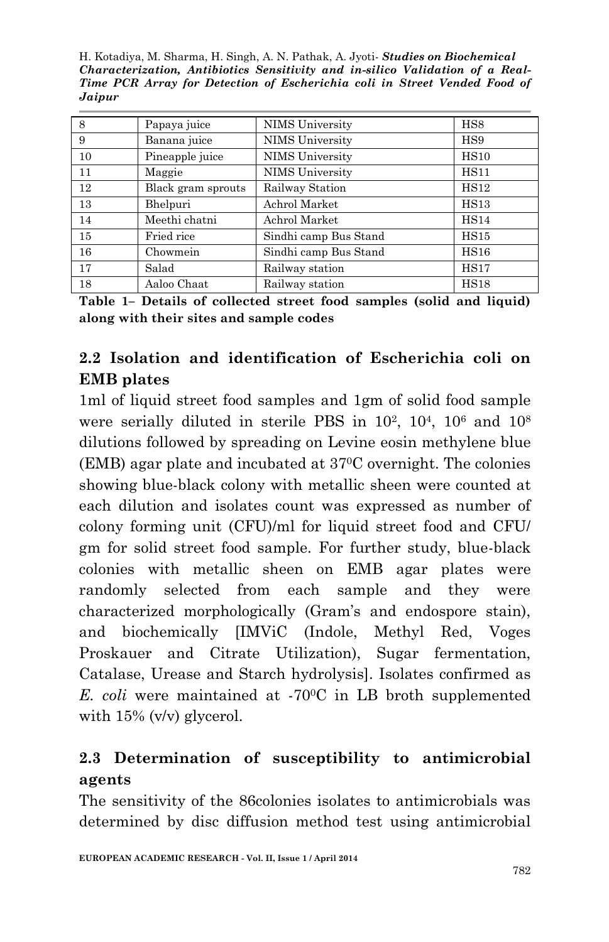H. Kotadiya, M. Sharma, H. Singh, A. N. Pathak, A. Jyoti*- Studies on Biochemical Characterization, Antibiotics Sensitivity and in-silico Validation of a Real-Time PCR Array for Detection of Escherichia coli in Street Vended Food of Jaipur* 

| 8  | Papaya juice       | NIMS University        | HS8         |
|----|--------------------|------------------------|-------------|
| 9  | Banana juice       | <b>NIMS</b> University | HS9         |
| 10 | Pineapple juice    | <b>NIMS</b> University | <b>HS10</b> |
| 11 | Maggie             | <b>NIMS</b> University | <b>HS11</b> |
| 12 | Black gram sprouts | Railway Station        | <b>HS12</b> |
| 13 | Bhelpuri           | Achrol Market          | HS13        |
| 14 | Meethi chatni      | Achrol Market          | <b>HS14</b> |
| 15 | Fried rice         | Sindhi camp Bus Stand  | HS15        |
| 16 | Chowmein           | Sindhi camp Bus Stand  | HS16        |
| 17 | Salad              | Railway station        | HS17        |
| 18 | Aaloo Chaat        | Railway station        | <b>HS18</b> |

**Table 1– Details of collected street food samples (solid and liquid) along with their sites and sample codes**

# **2.2 Isolation and identification of Escherichia coli on EMB plates**

1ml of liquid street food samples and 1gm of solid food sample were serially diluted in sterile PBS in  $10^2$ ,  $10^4$ ,  $10^6$  and  $10^8$ dilutions followed by spreading on Levine eosin methylene blue (EMB) agar plate and incubated at 370C overnight. The colonies showing blue-black colony with metallic sheen were counted at each dilution and isolates count was expressed as number of colony forming unit (CFU)/ml for liquid street food and CFU/ gm for solid street food sample. For further study, blue-black colonies with metallic sheen on EMB agar plates were randomly selected from each sample and they were characterized morphologically (Gram's and endospore stain), and biochemically [IMViC (Indole, Methyl Red, Voges Proskauer and Citrate Utilization), Sugar fermentation, Catalase, Urease and Starch hydrolysis]. Isolates confirmed as *E. coli* were maintained at -700C in LB broth supplemented with 15% (v/v) glycerol.

# **2.3 Determination of susceptibility to antimicrobial agents**

The sensitivity of the 86colonies isolates to antimicrobials was determined by disc diffusion method test using antimicrobial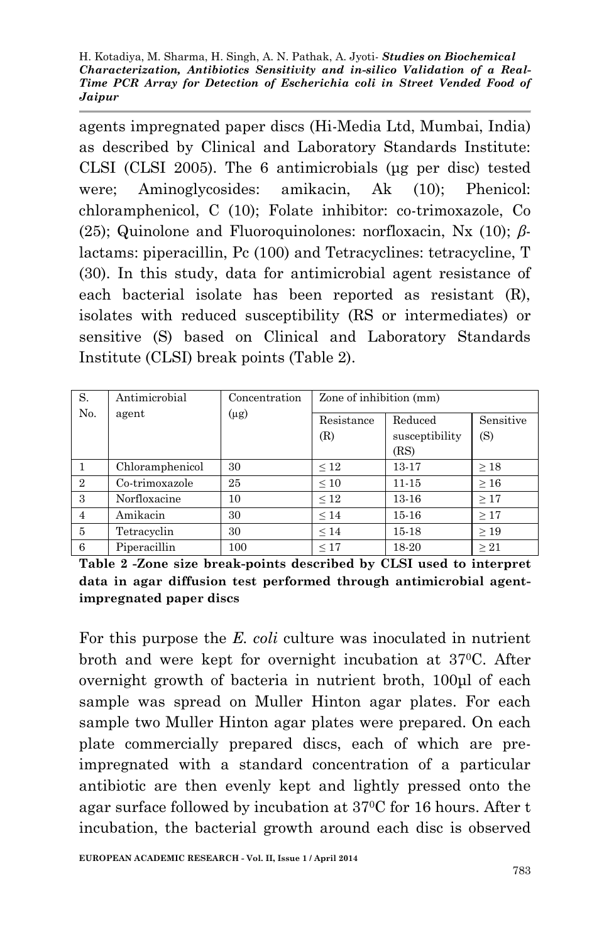agents impregnated paper discs (Hi-Media Ltd, Mumbai, India) as described by Clinical and Laboratory Standards Institute: CLSI (CLSI 2005). The 6 antimicrobials (μg per disc) tested were; Aminoglycosides: amikacin, Ak (10); Phenicol: chloramphenicol, C (10); Folate inhibitor: co-trimoxazole, Co (25); Quinolone and Fluoroquinolones: norfloxacin, Nx (10); *β*lactams: piperacillin, Pc (100) and Tetracyclines: tetracycline, T (30). In this study, data for antimicrobial agent resistance of each bacterial isolate has been reported as resistant (R), isolates with reduced susceptibility (RS or intermediates) or sensitive (S) based on Clinical and Laboratory Standards Institute (CLSI) break points (Table 2).

| S.             | Antimicrobial   | Concentration | Zone of inhibition (mm) |                                   |           |
|----------------|-----------------|---------------|-------------------------|-----------------------------------|-----------|
| N <sub>0</sub> | agent           | $(\mu g)$     | Resistance<br>(R)       | Reduced<br>susceptibility<br>(RS) |           |
|                | Chloramphenicol | 30            | $\leq 12$               | 13-17                             | $\geq 18$ |
| $\mathfrak{D}$ | Co-trimoxazole  | 25            | $\leq 10$               | $11 - 15$                         | $\geq 16$ |
| 3              | Norfloxacine    | 10            | $\leq 12$               | $13 - 16$                         | >17       |
| $\overline{4}$ | Amikacin        | 30            | $\leq 14$               | $15 - 16$                         | $\geq 17$ |
| 5              | Tetracyclin     | 30            | $\leq 14$               | $15 - 18$                         | >19       |
| 6              | Piperacillin    | 100           | $\leq 17$               | 18-20                             | >21       |

**Table 2 -Zone size break-points described by CLSI used to interpret data in agar diffusion test performed through antimicrobial agentimpregnated paper discs**

For this purpose the *E. coli* culture was inoculated in nutrient broth and were kept for overnight incubation at 370C. After overnight growth of bacteria in nutrient broth, 100μl of each sample was spread on Muller Hinton agar plates. For each sample two Muller Hinton agar plates were prepared. On each plate commercially prepared discs, each of which are preimpregnated with a standard concentration of a particular antibiotic are then evenly kept and lightly pressed onto the agar surface followed by incubation at 370C for 16 hours. After t incubation, the bacterial growth around each disc is observed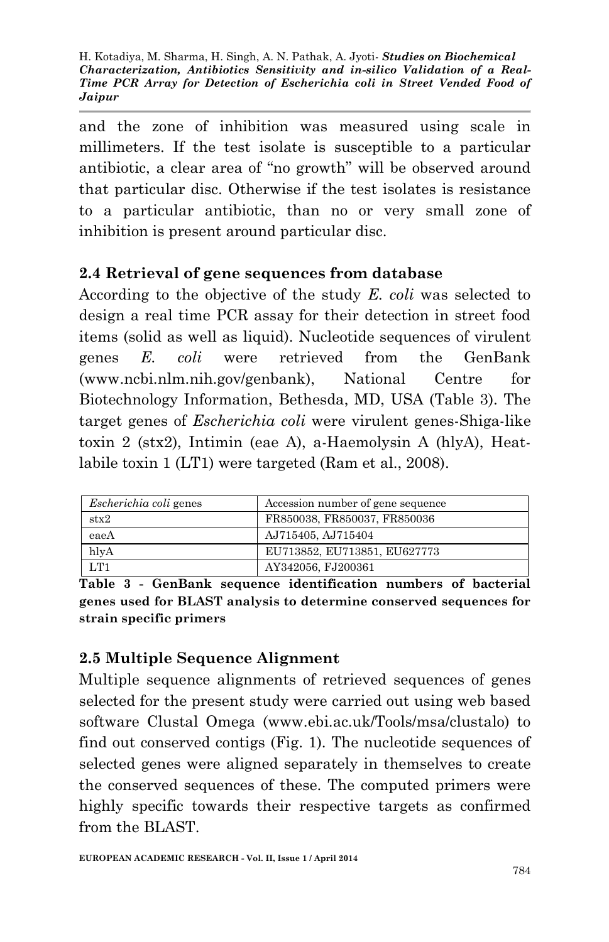and the zone of inhibition was measured using scale in millimeters. If the test isolate is susceptible to a particular antibiotic, a clear area of "no growth" will be observed around that particular disc. Otherwise if the test isolates is resistance to a particular antibiotic, than no or very small zone of inhibition is present around particular disc.

#### **2.4 Retrieval of gene sequences from database**

According to the objective of the study *E. coli* was selected to design a real time PCR assay for their detection in street food items (solid as well as liquid). Nucleotide sequences of virulent genes *E. coli* were retrieved from the GenBank (www.ncbi.nlm.nih.gov/genbank), National Centre for Biotechnology Information, Bethesda, MD, USA (Table 3). The target genes of *Escherichia coli* were virulent genes-Shiga-like toxin 2 (stx2), Intimin (eae A), a-Haemolysin A (hlyA), Heatlabile toxin 1 (LT1) were targeted (Ram et al., 2008).

| <i>Escherichia coli</i> genes | Accession number of gene sequence |
|-------------------------------|-----------------------------------|
| $_{\rm{stx2}}$                | FR850038, FR850037, FR850036      |
| eaeA                          | AJ715405, AJ715404                |
| hlvA                          | EU713852, EU713851, EU627773      |
| LT1                           | AY342056, FJ200361                |

**Table 3 - GenBank sequence identification numbers of bacterial genes used for BLAST analysis to determine conserved sequences for strain specific primers**

### **2.5 Multiple Sequence Alignment**

Multiple sequence alignments of retrieved sequences of genes selected for the present study were carried out using web based software Clustal Omega (www.ebi.ac.uk/Tools/msa/clustalo) to find out conserved contigs (Fig. 1). The nucleotide sequences of selected genes were aligned separately in themselves to create the conserved sequences of these. The computed primers were highly specific towards their respective targets as confirmed from the BLAST.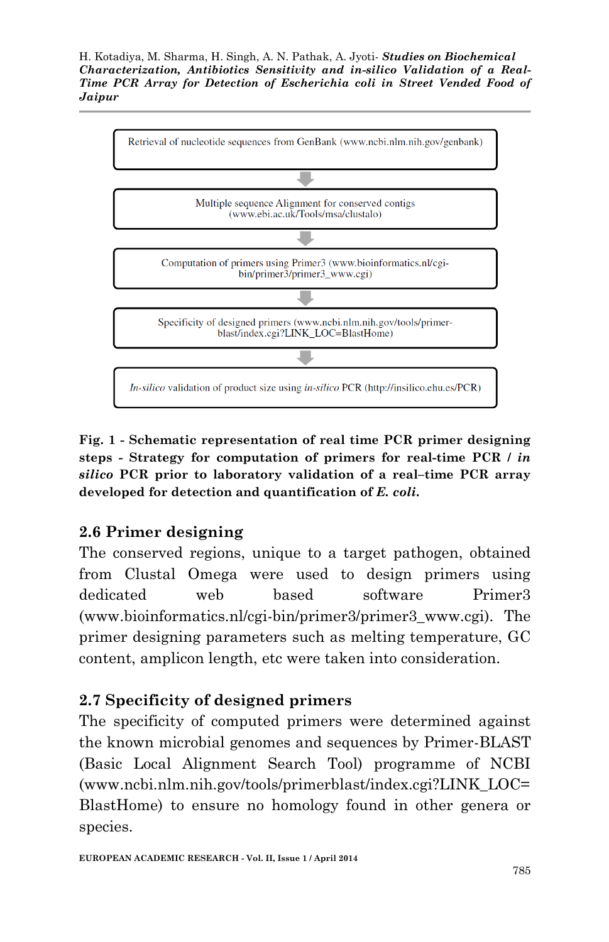

**Fig. 1 - Schematic representation of real time PCR primer designing steps - Strategy for computation of primers for real-time PCR /** *in silico* **PCR prior to laboratory validation of a real–time PCR array developed for detection and quantification of** *E. coli***.**

### **2.6 Primer designing**

The conserved regions, unique to a target pathogen, obtained from Clustal Omega were used to design primers using dedicated web based software Primer3 (www.bioinformatics.nl/cgi-bin/primer3/primer3\_www.cgi). The primer designing parameters such as melting temperature, GC content, amplicon length, etc were taken into consideration.

### **2.7 Specificity of designed primers**

The specificity of computed primers were determined against the known microbial genomes and sequences by Primer-BLAST (Basic Local Alignment Search Tool) programme of NCBI (www.ncbi.nlm.nih.gov/tools/primerblast/index.cgi?LINK\_LOC= BlastHome) to ensure no homology found in other genera or species.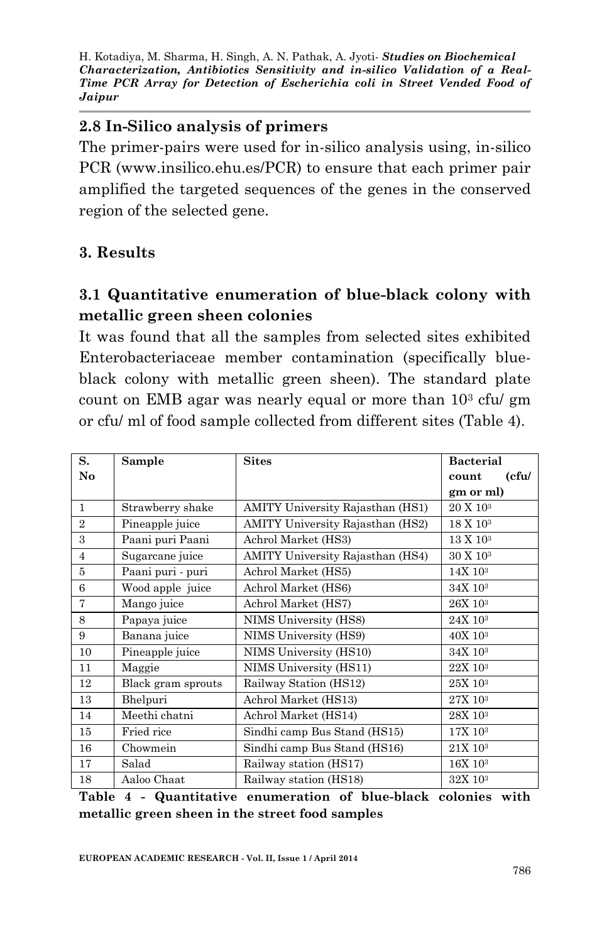### **2.8 In-Silico analysis of primers**

The primer-pairs were used for in-silico analysis using, in-silico PCR (www.insilico.ehu.es/PCR) to ensure that each primer pair amplified the targeted sequences of the genes in the conserved region of the selected gene.

#### **3. Results**

### **3.1 Quantitative enumeration of blue-black colony with metallic green sheen colonies**

It was found that all the samples from selected sites exhibited Enterobacteriaceae member contamination (specifically blueblack colony with metallic green sheen). The standard plate count on EMB agar was nearly equal or more than  $10<sup>3</sup>$  cfu/ gm or cfu/ ml of food sample collected from different sites (Table 4).

| S.             | Sample             | <b>Sites</b>                            | <b>Bacterial</b>      |  |
|----------------|--------------------|-----------------------------------------|-----------------------|--|
| No             |                    |                                         | (cfu/<br>count        |  |
|                |                    |                                         | gm or ml)             |  |
| $\mathbf{1}$   | Strawberry shake   | <b>AMITY University Rajasthan (HS1)</b> | 20 X 10 <sup>3</sup>  |  |
| $\overline{2}$ | Pineapple juice    | <b>AMITY University Rajasthan (HS2)</b> | 18 X 10 <sup>3</sup>  |  |
| $\mathbf{a}$   | Paani puri Paani   | Achrol Market (HS3)                     | 13 X 10 <sup>3</sup>  |  |
| $\overline{4}$ | Sugarcane juice    | <b>AMITY University Rajasthan (HS4)</b> | 30 X 10 <sup>3</sup>  |  |
| 5              | Paani puri - puri  | Achrol Market (HS5)                     | 14X 10 <sup>3</sup>   |  |
| 6              | Wood apple juice   | Achrol Market (HS6)                     | 34X 103               |  |
| 7              | Mango juice        | Achrol Market (HS7)                     | 26X 10 <sup>3</sup>   |  |
| 8              | Papaya juice       | NIMS University (HS8)                   | $24X$ 10 <sup>3</sup> |  |
| 9              | Banana juice       | NIMS University (HS9)                   | 40X 10 <sup>3</sup>   |  |
| 10             | Pineapple juice    | NIMS University (HS10)                  | 34X 10 <sup>3</sup>   |  |
| 11             | Maggie             | NIMS University (HS11)                  | 22X 10 <sup>3</sup>   |  |
| 12             | Black gram sprouts | Railway Station (HS12)                  | 25X 10 <sup>3</sup>   |  |
| 13             | Bhelpuri           | Achrol Market (HS13)                    | 27X 10 <sup>3</sup>   |  |
| 14             | Meethi chatni      | Achrol Market (HS14)                    | 28X 10 <sup>3</sup>   |  |
| 15             | Fried rice         | Sindhi camp Bus Stand (HS15)            | 17X 103               |  |
| 16             | Chowmein           | Sindhi camp Bus Stand (HS16)            | 21X 103               |  |
| 17             | Salad              | Railway station (HS17)                  | $16X$ $103$           |  |
| 18             | Aaloo Chaat        | Railway station (HS18)                  | 32X 10 <sup>3</sup>   |  |

**Table 4 - Quantitative enumeration of blue-black colonies with metallic green sheen in the street food samples**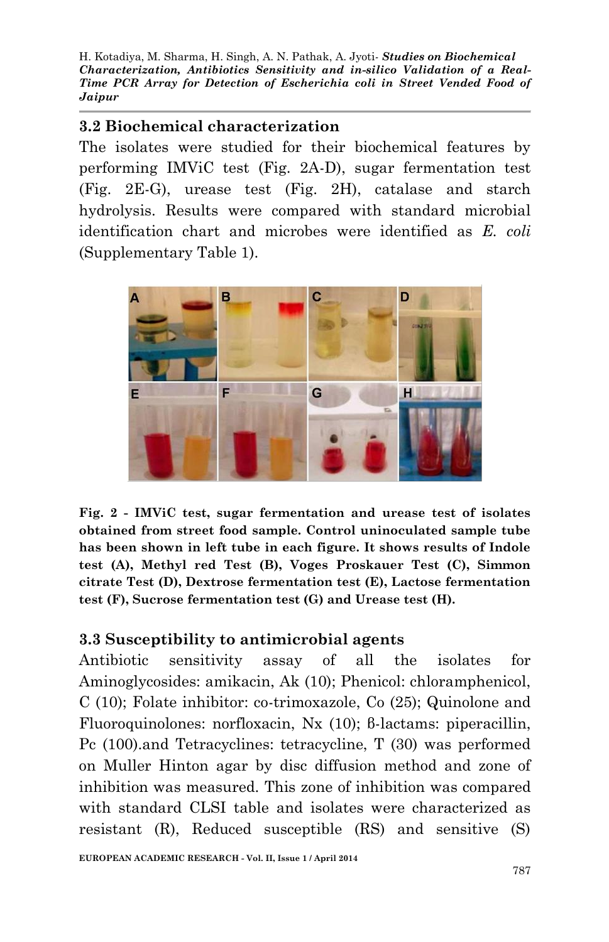#### **3.2 Biochemical characterization**

The isolates were studied for their biochemical features by performing IMViC test (Fig. 2A-D), sugar fermentation test (Fig. 2E-G), urease test (Fig. 2H), catalase and starch hydrolysis. Results were compared with standard microbial identification chart and microbes were identified as *E. coli* (Supplementary Table 1).



**Fig. 2 - IMViC test, sugar fermentation and urease test of isolates obtained from street food sample. Control uninoculated sample tube has been shown in left tube in each figure. It shows results of Indole test (A), Methyl red Test (B), Voges Proskauer Test (C), Simmon citrate Test (D), Dextrose fermentation test (E), Lactose fermentation test (F), Sucrose fermentation test (G) and Urease test (H).**

#### **3.3 Susceptibility to antimicrobial agents**

Antibiotic sensitivity assay of all the isolates for Aminoglycosides: amikacin, Ak (10); Phenicol: chloramphenicol, C (10); Folate inhibitor: co-trimoxazole, Co (25); Quinolone and Fluoroquinolones: norfloxacin, Nx (10); β-lactams: piperacillin, Pc (100).and Tetracyclines: tetracycline, T (30) was performed on Muller Hinton agar by disc diffusion method and zone of inhibition was measured. This zone of inhibition was compared with standard CLSI table and isolates were characterized as resistant (R), Reduced susceptible (RS) and sensitive (S)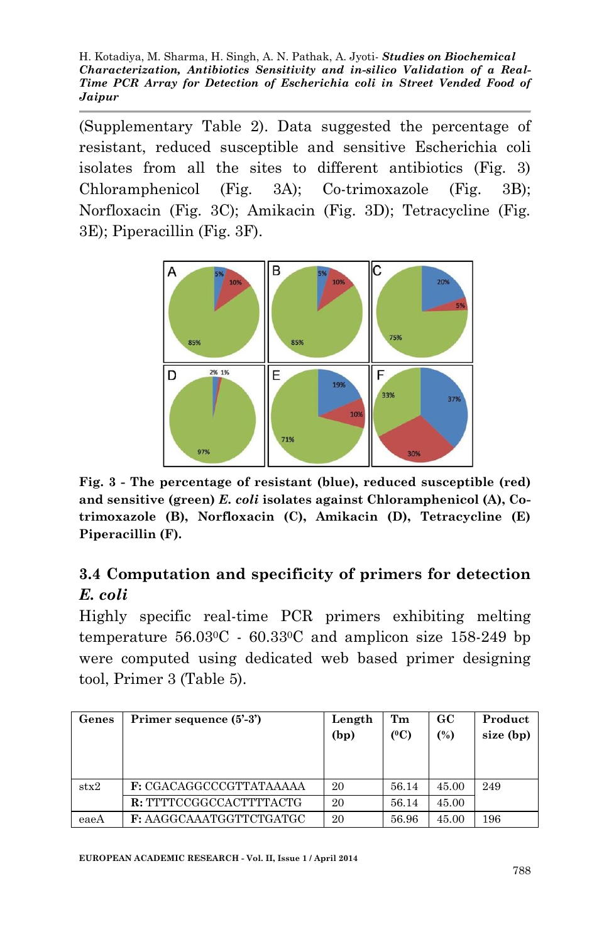(Supplementary Table 2). Data suggested the percentage of resistant, reduced susceptible and sensitive Escherichia coli isolates from all the sites to different antibiotics (Fig. 3) Chloramphenicol (Fig. 3A); Co-trimoxazole (Fig. 3B); Norfloxacin (Fig. 3C); Amikacin (Fig. 3D); Tetracycline (Fig. 3E); Piperacillin (Fig. 3F).



**Fig. 3 - The percentage of resistant (blue), reduced susceptible (red) and sensitive (green)** *E. coli* **isolates against Chloramphenicol (A), Cotrimoxazole (B), Norfloxacin (C), Amikacin (D), Tetracycline (E) Piperacillin (F).**

# **3.4 Computation and specificity of primers for detection**  *E. coli*

Highly specific real-time PCR primers exhibiting melting temperature  $56.03^{\circ}$ C -  $60.33^{\circ}$ C and amplicon size 158-249 bp were computed using dedicated web based primer designing tool, Primer 3 (Table 5).

| Genes         | Primer sequence (5'-3')        | Length<br>(bp) | Tm<br>(°C) | GC<br>(%) | Product<br>size (bp) |
|---------------|--------------------------------|----------------|------------|-----------|----------------------|
| $\text{stx}2$ | <b>F:</b> CGACAGGCCCGTTATAAAAA | 20             | 56.14      | 45.00     | 249                  |
|               | R: TTTTCCGGCCACTTTTACTG        | 20             | 56.14      | 45.00     |                      |
| eaeA          | F: AAGGCAAATGGTTCTGATGC        | 20             | 56.96      | 45.00     | 196                  |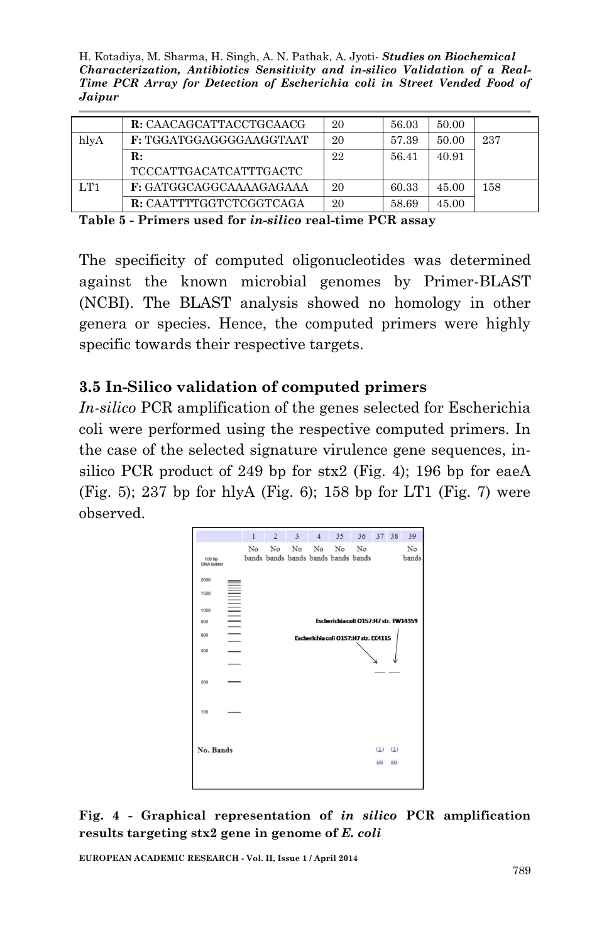H. Kotadiya, M. Sharma, H. Singh, A. N. Pathak, A. Jyoti*- Studies on Biochemical Characterization, Antibiotics Sensitivity and in-silico Validation of a Real-Time PCR Array for Detection of Escherichia coli in Street Vended Food of Jaipur* 

|      | R: CAACAGCATTACCTGCAACG       | 20 | 56.03 | 50.00 |     |
|------|-------------------------------|----|-------|-------|-----|
| hlyA | F: TGGATGGAGGGGAAGGTAAT       | 20 | 57.39 | 50.00 | 237 |
|      | R:                            | 22 | 56.41 | 40.91 |     |
|      | <b>TCCCATTGACATCATTTGACTC</b> |    |       |       |     |
| LT1  | F: GATGGCAGGCAAAAGAGAAA       | 20 | 60.33 | 45.00 | 158 |
|      | R: CAATTTTGGTCTCGGTCAGA       | 20 | 58.69 | 45.00 |     |

**Table 5 - Primers used for** *in-silico* **real-time PCR assay**

The specificity of computed oligonucleotides was determined against the known microbial genomes by Primer-BLAST (NCBI). The BLAST analysis showed no homology in other genera or species. Hence, the computed primers were highly specific towards their respective targets.

#### **3.5 In-Silico validation of computed primers**

*In-silico* PCR amplification of the genes selected for Escherichia coli were performed using the respective computed primers. In the case of the selected signature virulence gene sequences, insilico PCR product of 249 bp for stx2 (Fig. 4); 196 bp for eaeA (Fig. 5); 237 bp for hlyA (Fig. 6); 158 bp for LT1 (Fig. 7) were observed.



**Fig. 4 - Graphical representation of** *in silico* **PCR amplification results targeting stx2 gene in genome of** *E. coli*

**EUROPEAN ACADEMIC RESEARCH - Vol. II, Issue 1 / April 2014**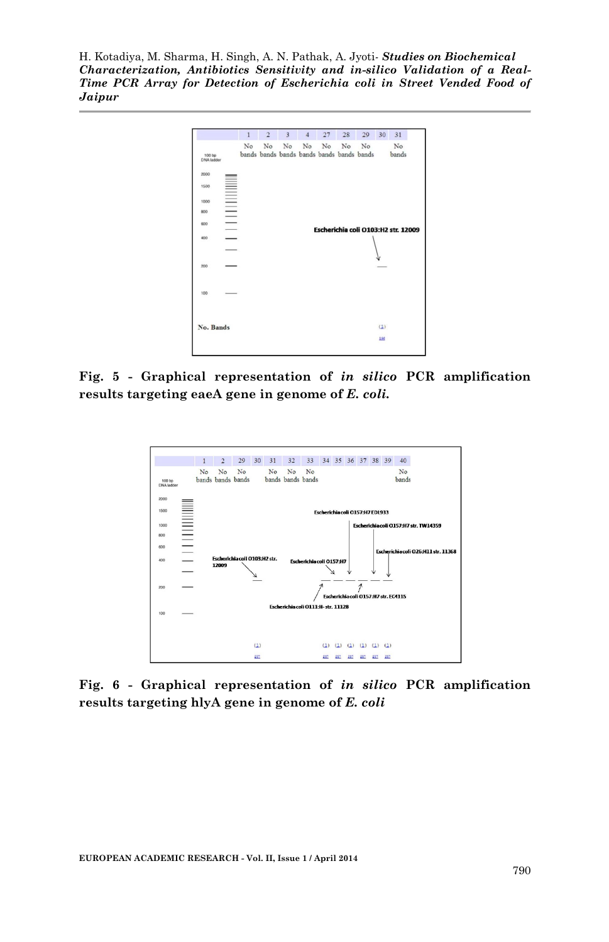

**Fig. 5 - Graphical representation of** *in silico* **PCR amplification results targeting eaeA gene in genome of** *E. coli.*



**Fig. 6 - Graphical representation of** *in silico* **PCR amplification results targeting hlyA gene in genome of** *E. coli*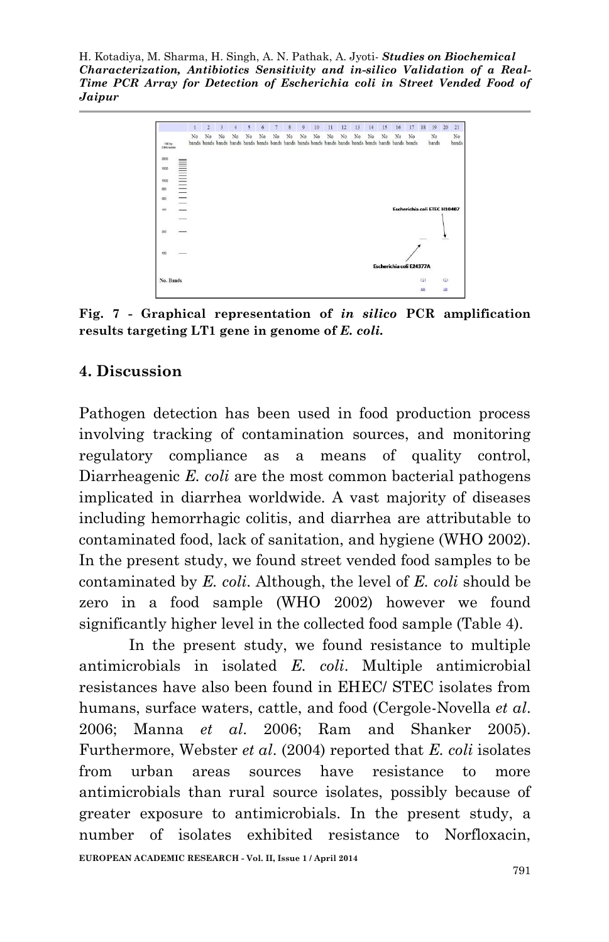

**Fig. 7 - Graphical representation of** *in silico* **PCR amplification results targeting LT1 gene in genome of** *E. coli.*

### **4. Discussion**

Pathogen detection has been used in food production process involving tracking of contamination sources, and monitoring regulatory compliance as a means of quality control, Diarrheagenic *E. coli* are the most common bacterial pathogens implicated in diarrhea worldwide. A vast majority of diseases including hemorrhagic colitis, and diarrhea are attributable to contaminated food, lack of sanitation, and hygiene (WHO 2002). In the present study, we found street vended food samples to be contaminated by *E. coli*. Although, the level of *E. coli* should be zero in a food sample (WHO 2002) however we found significantly higher level in the collected food sample (Table 4).

In the present study, we found resistance to multiple antimicrobials in isolated *E. coli*. Multiple antimicrobial resistances have also been found in EHEC/ STEC isolates from humans, surface waters, cattle, and food (Cergole-Novella *et al*. 2006; Manna *et al*. 2006; Ram and Shanker 2005). Furthermore, Webster *et al*. (2004) reported that *E. coli* isolates from urban areas sources have resistance to more antimicrobials than rural source isolates, possibly because of greater exposure to antimicrobials. In the present study, a number of isolates exhibited resistance to Norfloxacin,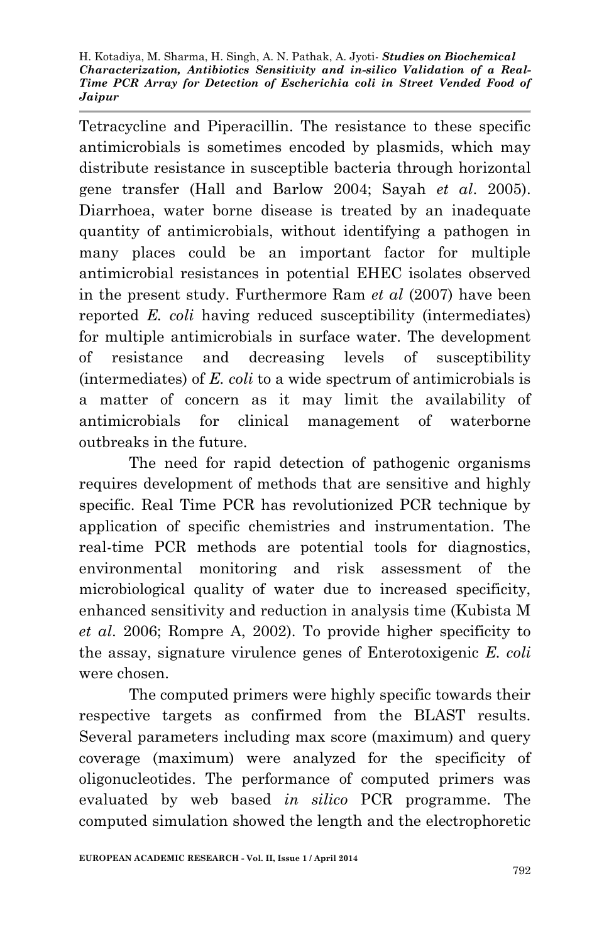Tetracycline and Piperacillin. The resistance to these specific antimicrobials is sometimes encoded by plasmids, which may distribute resistance in susceptible bacteria through horizontal gene transfer (Hall and Barlow 2004; Sayah *et al*. 2005). Diarrhoea, water borne disease is treated by an inadequate quantity of antimicrobials, without identifying a pathogen in many places could be an important factor for multiple antimicrobial resistances in potential EHEC isolates observed in the present study. Furthermore Ram *et al* (2007) have been reported *E. coli* having reduced susceptibility (intermediates) for multiple antimicrobials in surface water. The development of resistance and decreasing levels of susceptibility (intermediates) of *E. coli* to a wide spectrum of antimicrobials is a matter of concern as it may limit the availability of antimicrobials for clinical management of waterborne outbreaks in the future.

The need for rapid detection of pathogenic organisms requires development of methods that are sensitive and highly specific. Real Time PCR has revolutionized PCR technique by application of specific chemistries and instrumentation. The real-time PCR methods are potential tools for diagnostics, environmental monitoring and risk assessment of the microbiological quality of water due to increased specificity, enhanced sensitivity and reduction in analysis time (Kubista M *et al*. 2006; Rompre A, 2002). To provide higher specificity to the assay, signature virulence genes of Enterotoxigenic *E. coli* were chosen.

The computed primers were highly specific towards their respective targets as confirmed from the BLAST results. Several parameters including max score (maximum) and query coverage (maximum) were analyzed for the specificity of oligonucleotides. The performance of computed primers was evaluated by web based *in silico* PCR programme. The computed simulation showed the length and the electrophoretic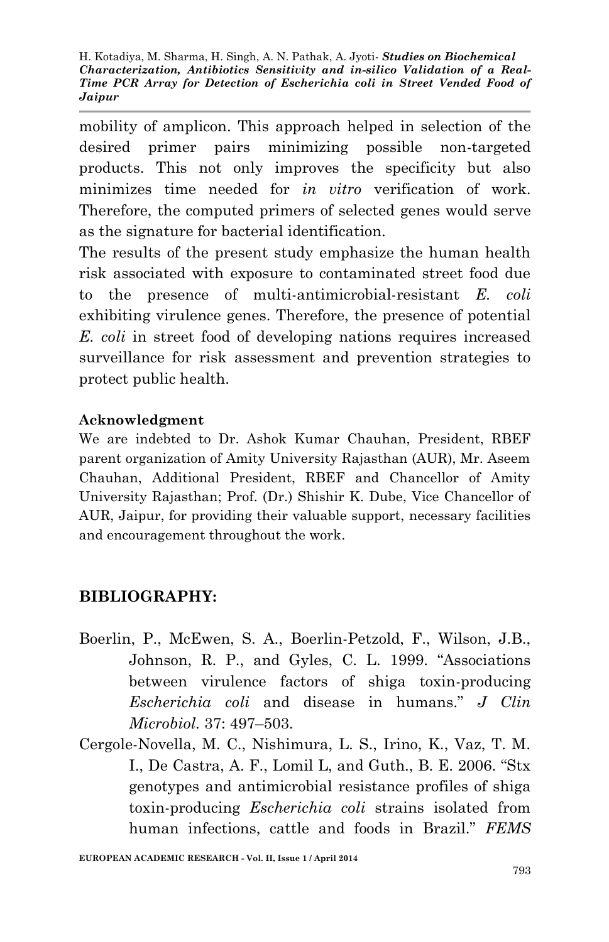mobility of amplicon. This approach helped in selection of the desired primer pairs minimizing possible non-targeted products. This not only improves the specificity but also minimizes time needed for *in vitro* verification of work. Therefore, the computed primers of selected genes would serve as the signature for bacterial identification.

The results of the present study emphasize the human health risk associated with exposure to contaminated street food due to the presence of multi-antimicrobial-resistant *E. coli* exhibiting virulence genes. Therefore, the presence of potential *E. coli* in street food of developing nations requires increased surveillance for risk assessment and prevention strategies to protect public health.

#### **Acknowledgment**

We are indebted to Dr. Ashok Kumar Chauhan, President, RBEF parent organization of Amity University Rajasthan (AUR), Mr. Aseem Chauhan, Additional President, RBEF and Chancellor of Amity University Rajasthan; Prof. (Dr.) Shishir K. Dube, Vice Chancellor of AUR, Jaipur, for providing their valuable support, necessary facilities and encouragement throughout the work.

### **BIBLIOGRAPHY:**

- Boerlin, P., McEwen, S. A., Boerlin-Petzold, F., Wilson, J.B., Johnson, R. P., and Gyles, C. L. 1999. "Associations between virulence factors of shiga toxin-producing *Escherichia coli* and disease in humans." *J Clin Microbiol.* 37: 497–503.
- Cergole-Novella, M. C., Nishimura, L. S., Irino, K., Vaz, T. M. I., De Castra, A. F., Lomil L, and Guth., B. E. 2006. "Stx genotypes and antimicrobial resistance profiles of shiga toxin-producing *Escherichia coli* strains isolated from human infections, cattle and foods in Brazil." *FEMS*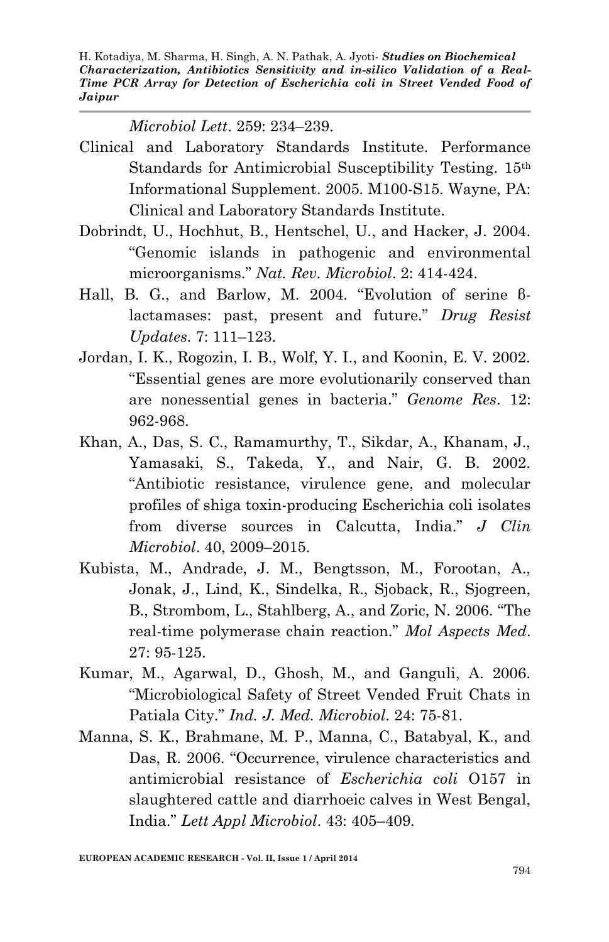*Microbiol Lett*. 259: 234–239.

- Clinical and Laboratory Standards Institute. Performance Standards for Antimicrobial Susceptibility Testing. 15th Informational Supplement. 2005. M100-S15. Wayne, PA: Clinical and Laboratory Standards Institute.
- Dobrindt, U., Hochhut, B., Hentschel, U., and Hacker, J. 2004. "Genomic islands in pathogenic and environmental microorganisms." *Nat. Rev. Microbiol*. 2: 414-424.
- Hall, B. G., and Barlow, M. 2004. "Evolution of serine βlactamases: past, present and future." *Drug Resist Updates*. 7: 111–123.
- Jordan, I. K., Rogozin, I. B., Wolf, Y. I., and Koonin, E. V. 2002. "Essential genes are more evolutionarily conserved than are nonessential genes in bacteria." *Genome Res*. 12: 962-968.
- Khan, A., Das, S. C., Ramamurthy, T., Sikdar, A., Khanam, J., Yamasaki, S., Takeda, Y., and Nair, G. B. 2002. "Antibiotic resistance, virulence gene, and molecular profiles of shiga toxin-producing Escherichia coli isolates from diverse sources in Calcutta, India." *J Clin Microbiol*. 40, 2009–2015.
- Kubista, M., Andrade, J. M., Bengtsson, M., Forootan, A., Jonak, J., Lind, K., Sindelka, R., Sjoback, R., Sjogreen, B., Strombom, L., Stahlberg, A., and Zoric, N. 2006. "The real-time polymerase chain reaction." *Mol Aspects Med*. 27: 95-125.
- Kumar, M., Agarwal, D., Ghosh, M., and Ganguli, A. 2006. "Microbiological Safety of Street Vended Fruit Chats in Patiala City." *Ind. J. Med. Microbiol*. 24: 75-81.
- Manna, S. K., Brahmane, M. P., Manna, C., Batabyal, K., and Das, R. 2006. "Occurrence, virulence characteristics and antimicrobial resistance of *Escherichia coli* O157 in slaughtered cattle and diarrhoeic calves in West Bengal, India." *Lett Appl Microbiol*. 43: 405–409.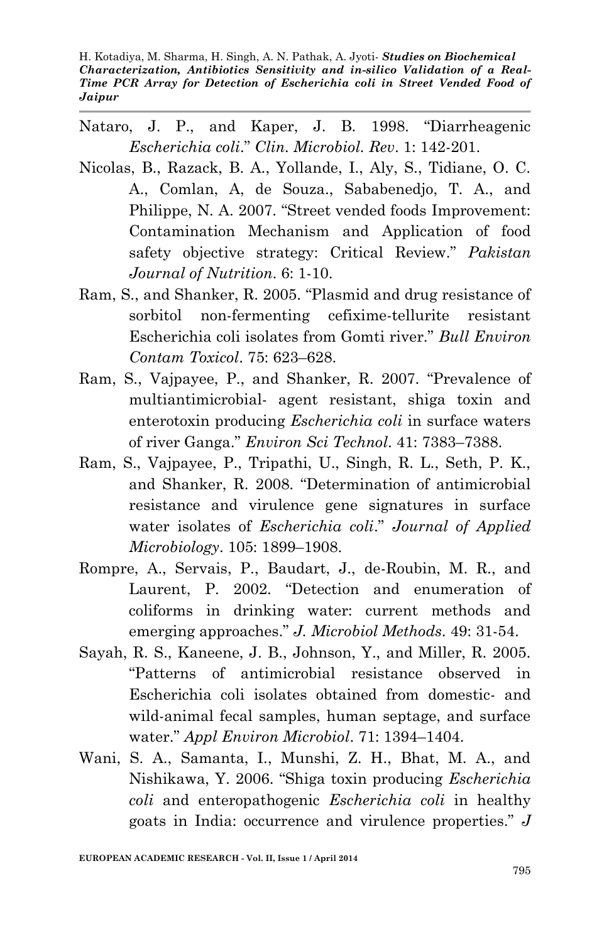- Nataro, J. P., and Kaper, J. B. 1998. "Diarrheagenic *Escherichia coli*." *Clin. Microbiol. Rev*. 1: 142-201.
- Nicolas, B., Razack, B. A., Yollande, I., Aly, S., Tidiane, O. C. A., Comlan, A, de Souza., Sababenedjo, T. A., and Philippe, N. A. 2007. "Street vended foods Improvement: Contamination Mechanism and Application of food safety objective strategy: Critical Review." *Pakistan Journal of Nutrition*. 6: 1-10.
- Ram, S., and Shanker, R. 2005. "Plasmid and drug resistance of sorbitol non-fermenting cefixime-tellurite resistant Escherichia coli isolates from Gomti river." *Bull Environ Contam Toxicol*. 75: 623–628.
- Ram, S., Vajpayee, P., and Shanker, R. 2007. "Prevalence of multiantimicrobial- agent resistant, shiga toxin and enterotoxin producing *Escherichia coli* in surface waters of river Ganga." *Environ Sci Technol*. 41: 7383–7388.
- Ram, S., Vajpayee, P., Tripathi, U., Singh, R. L., Seth, P. K., and Shanker, R. 2008. "Determination of antimicrobial resistance and virulence gene signatures in surface water isolates of *Escherichia coli*." *Journal of Applied Microbiology*. 105: 1899–1908.
- Rompre, A., Servais, P., Baudart, J., de-Roubin, M. R., and Laurent, P. 2002. "Detection and enumeration of coliforms in drinking water: current methods and emerging approaches." *J. Microbiol Methods*. 49: 31-54.
- Sayah, R. S., Kaneene, J. B., Johnson, Y., and Miller, R. 2005. "Patterns of antimicrobial resistance observed in Escherichia coli isolates obtained from domestic- and wild-animal fecal samples, human septage, and surface water." *Appl Environ Microbiol*. 71: 1394–1404.
- Wani, S. A., Samanta, I., Munshi, Z. H., Bhat, M. A., and Nishikawa, Y. 2006. "Shiga toxin producing *Escherichia coli* and enteropathogenic *Escherichia coli* in healthy goats in India: occurrence and virulence properties." *J*